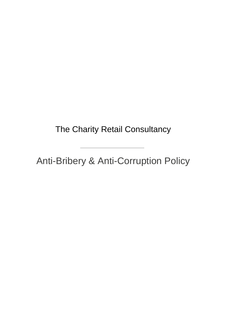The Charity Retail Consultancy

Anti-Bribery & Anti-Corruption Policy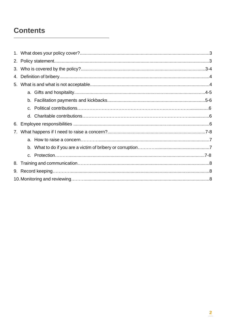# **Contents**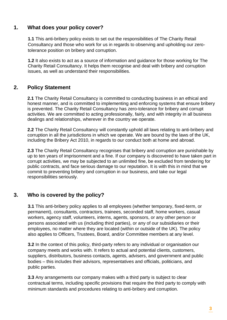### **1. What does your policy cover?**

**1.1** This anti-bribery policy exists to set out the responsibilities of The Charity Retail Consultancy and those who work for us in regards to observing and upholding our zerotolerance position on bribery and corruption.

**1.2** It also exists to act as a source of information and guidance for those working for The Charity Retail Consultancy. It helps them recognise and deal with bribery and corruption issues, as well as understand their responsibilities.

## **2. Policy Statement**

**2.1** The Charity Retail Consultancy is committed to conducting business in an ethical and honest manner, and is committed to implementing and enforcing systems that ensure bribery is prevented. The Charity Retail Consultancy has zero-tolerance for bribery and corrupt activities. We are committed to acting professionally, fairly, and with integrity in all business dealings and relationships, wherever in the country we operate.

**2.2** The Charity Retail Consultancy will constantly uphold all laws relating to anti-bribery and corruption in all the jurisdictions in which we operate. We are bound by the laws of the UK, including the Bribery Act 2010, in regards to our conduct both at home and abroad.

**2.3** The Charity Retail Consultancy recognises that bribery and corruption are punishable by up to ten years of imprisonment and a fine. If our company is discovered to have taken part in corrupt activities, we may be subjected to an unlimited fine, be excluded from tendering for public contracts, and face serious damage to our reputation. It is with this in mind that we commit to preventing bribery and corruption in our business, and take our legal responsibilities seriously.

# **3. Who is covered by the policy?**

**3.1** This anti-bribery policy applies to all employees (whether temporary, fixed-term, or permanent), consultants, contractors, trainees, seconded staff, home workers, casual workers, agency staff, volunteers, interns, agents, sponsors, or any other person or persons associated with us (including third parties), or any of our subsidiaries or their employees, no matter where they are located (within or outside of the UK). The policy also applies to Officers, Trustees, Board, and/or Committee members at any level.

**3.2** In the context of this policy, third-party refers to any individual or organisation our company meets and works with. It refers to actual and potential clients, customers, suppliers, distributors, business contacts, agents, advisers, and government and public bodies – this includes their advisors, representatives and officials, politicians, and public parties.

**3.3** Any arrangements our company makes with a third party is subject to clear contractual terms, including specific provisions that require the third party to comply with minimum standards and procedures relating to anti-bribery and corruption.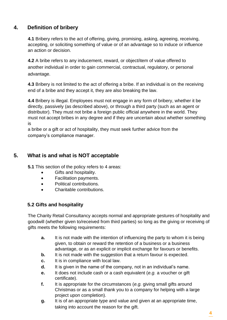# **4. Definition of bribery**

**4.1** Bribery refers to the act of offering, giving, promising, asking, agreeing, receiving, accepting, or soliciting something of value or of an advantage so to induce or influence an action or decision.

**4.2** A bribe refers to any inducement, reward, or object/item of value offered to another individual in order to gain commercial, contractual, regulatory, or personal advantage.

**4.3** Bribery is not limited to the act of offering a bribe. If an individual is on the receiving end of a bribe and they accept it, they are also breaking the law.

**4.4** Bribery is illegal. Employees must not engage in any form of bribery, whether it be directly, passively (as described above), or through a third party (such as an agent or distributor). They must not bribe a foreign public official anywhere in the world. They must not accept bribes in any degree and if they are uncertain about whether something is

a bribe or a gift or act of hospitality, they must seek further advice from the company's compliance manager.

# **5. What is and what is NOT acceptable**

**5.1** This section of the policy refers to 4 areas:

- Gifts and hospitality.
- Facilitation payments.
- Political contributions.
- Charitable contributions.

#### **5.2 Gifts and hospitality**

The Charity Retail Consultancy accepts normal and appropriate gestures of hospitality and goodwill (whether given to/received from third parties) so long as the giving or receiving of gifts meets the following requirements:

- **a.** It is not made with the intention of influencing the party to whom it is being given, to obtain or reward the retention of a business or a business advantage, or as an explicit or implicit exchange for favours or benefits.
- **b.** It is not made with the suggestion that a return favour is expected.
- **c.** It is in compliance with local law.
- **d.** It is given in the name of the company, not in an individual's name.
- **e.** It does not include cash or a cash equivalent (*e.g.* a voucher or gift certificate).
- **f.** It is appropriate for the circumstances (*e.g.* giving small gifts around Christmas or as a small thank you to a company for helping with a large project upon completion).
- **g.** It is of an appropriate type and value and given at an appropriate time, taking into account the reason for the gift.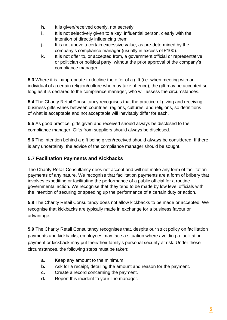- **h.** It is given/received openly, not secretly.
- **i.** It is not selectively given to a key, influential person, clearly with the intention of directly influencing them.
- **j.** It is not above a certain excessive value, as pre-determined by the company's compliance manager (usually in excess of £100).
- **k.** It is not offer to, or accepted from, a government official or representative or politician or political party, without the prior approval of the company's compliance manager.

**5.3** Where it is inappropriate to decline the offer of a gift (i.e. when meeting with an individual of a certain religion/culture who may take offence), the gift may be accepted so long as it is declared to the compliance manager, who will assess the circumstances.

**5.4** The Charity Retail Consultancy recognises that the practice of giving and receiving business gifts varies between countries, regions, cultures, and religions, so definitions of what is acceptable and not acceptable will inevitably differ for each.

**5.5** As good practice, gifts given and received should always be disclosed to the compliance manager. Gifts from suppliers should always be disclosed.

**5.6** The intention behind a gift being given/received should always be considered. If there is any uncertainty, the advice of the compliance manager should be sought.

## **5.7 Facilitation Payments and Kickbacks**

The Charity Retail Consultancy does not accept and will not make any form of facilitation payments of any nature. We recognise that facilitation payments are a form of bribery that involves expediting or facilitating the performance of a public official for a routine governmental action. We recognise that they tend to be made by low level officials with the intention of securing or speeding up the performance of a certain duty or action.

**5.8** The Charity Retail Consultancy does not allow kickbacks to be made or accepted. We recognise that kickbacks are typically made in exchange for a business favour or advantage.

**5.9** The Charity Retail Consultancy recognises that, despite our strict policy on facilitation payments and kickbacks, employees may face a situation where avoiding a facilitation payment or kickback may put their/their family's personal security at risk. Under these circumstances, the following steps must be taken:

- **a.** Keep any amount to the minimum.
- **b.** Ask for a receipt, detailing the amount and reason for the payment.
- **c.** Create a record concerning the payment.
- **d.** Report this incident to your line manager.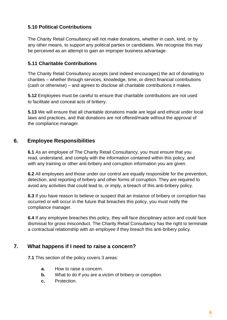#### **5.10 Political Contributions**

The Charity Retail Consultancy will not make donations, whether in cash, kind, or by any other means, to support any political parties or candidates. We recognise this may be perceived as an attempt to gain an improper business advantage.

#### **5.11 Charitable Contributions**

The Charity Retail Consultancy accepts (and indeed encourages) the act of donating to charities – whether through services, knowledge, time, or direct financial contributions (cash or otherwise) – and agrees to disclose all charitable contributions it makes.

**5.12** Employees must be careful to ensure that charitable contributions are not used to facilitate and conceal acts of bribery.

**5.13** We will ensure that all charitable donations made are legal and ethical under local laws and practices, and that donations are not offered/made without the approval of the compliance manager.

# **6. Employee Responsibilities**

**6.1** As an employee of The Charity Retail Consultancy, you must ensure that you read, understand, and comply with the information contained within this policy, and with any training or other anti-bribery and corruption information you are given.

**6.2** All employees and those under our control are equally responsible for the prevention, detection, and reporting of bribery and other forms of corruption. They are required to avoid any activities that could lead to, or imply, a breach of this anti-bribery policy.

**6.3** If you have reason to believe or suspect that an instance of bribery or corruption has occurred or will occur in the future that breaches this policy, you must notify the compliance manager.

**6.4** If any employee breaches this policy, they will face disciplinary action and could face dismissal for gross misconduct. The Charity Retail Consultancy has the right to terminate a contractual relationship with an employee if they breach this anti-bribery policy.

# **7. What happens if I need to raise a concern?**

**7.1** This section of the policy covers 3 areas:

- **a.** How to raise a concern.
- **b.** What to do if you are a victim of bribery or corruption.
- **c.** Protection.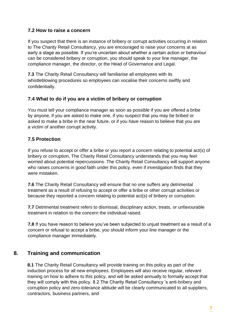#### **7.2 How to raise a concern**

If you suspect that there is an instance of bribery or corrupt activities occurring in relation to The Charity Retail Consultancy, you are encouraged to raise your concerns at as early a stage as possible. If you're uncertain about whether a certain action or behaviour can be considered bribery or corruption, you should speak to your line manager, the compliance manager, the director, or the Head of Governance and Legal.

**7.3** The Charity Retail Consultancy will familiarise all employees with its whistleblowing procedures so employees can vocalise their concerns swiftly and confidentially.

#### **7.4 What to do if you are a victim of bribery or corruption**

You must tell your compliance manager as soon as possible if you are offered a bribe by anyone, if you are asked to make one, if you suspect that you may be bribed or asked to make a bribe in the near future, or if you have reason to believe that you are a victim of another corrupt activity.

#### **7.5 Protection**

If you refuse to accept or offer a bribe or you report a concern relating to potential act(s) of bribery or corruption, The Charity Retail Consultancy understands that you may feel worried about potential repercussions. The Charity Retail Consultancy will support anyone who raises concerns in good faith under this policy, even if investigation finds that they were mistaken.

**7.6** The Charity Retail Consultancy will ensure that no one suffers any detrimental treatment as a result of refusing to accept or offer a bribe or other corrupt activities or because they reported a concern relating to potential act(s) of bribery or corruption.

**7.7** Detrimental treatment refers to dismissal, disciplinary action, treats, or unfavourable treatment in relation to the concern the individual raised.

**7.8** If you have reason to believe you've been subjected to unjust treatment as a result of a concern or refusal to accept a bribe, you should inform your line manager or the compliance manager immediately.

# **8. Training and communication**

**8.1** The Charity Retail Consultancy will provide training on this policy as part of the induction process for all new employees. Employees will also receive regular, relevant training on how to adhere to this policy, and will be asked annually to formally accept that they will comply with this policy. 8.2 The Charity Retail Consultancy 's anti-bribery and corruption policy and zero-tolerance attitude will be clearly communicated to all suppliers, contractors, business partners, and